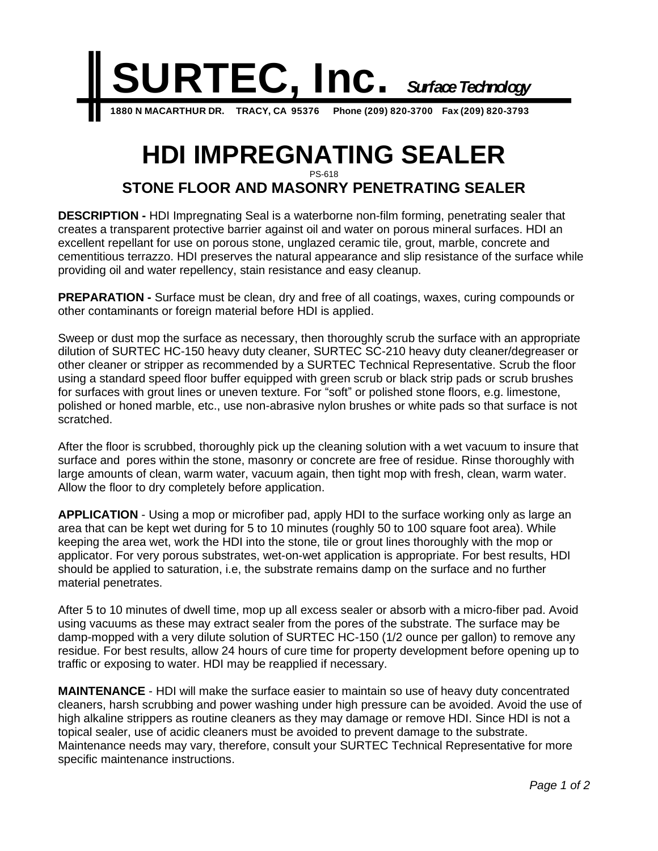

## **HDI IMPREGNATING SEALER** PS-618

## **STONE FLOOR AND MASONRY PENETRATING SEALER**

**DESCRIPTION -** HDI Impregnating Seal is a waterborne non-film forming, penetrating sealer that creates a transparent protective barrier against oil and water on porous mineral surfaces. HDI an excellent repellant for use on porous stone, unglazed ceramic tile, grout, marble, concrete and cementitious terrazzo. HDI preserves the natural appearance and slip resistance of the surface while providing oil and water repellency, stain resistance and easy cleanup.

**PREPARATION -** Surface must be clean, dry and free of all coatings, waxes, curing compounds or other contaminants or foreign material before HDI is applied.

Sweep or dust mop the surface as necessary, then thoroughly scrub the surface with an appropriate dilution of SURTEC HC-150 heavy duty cleaner, SURTEC SC-210 heavy duty cleaner/degreaser or other cleaner or stripper as recommended by a SURTEC Technical Representative. Scrub the floor using a standard speed floor buffer equipped with green scrub or black strip pads or scrub brushes for surfaces with grout lines or uneven texture. For "soft" or polished stone floors, e.g. limestone, polished or honed marble, etc., use non-abrasive nylon brushes or white pads so that surface is not scratched.

After the floor is scrubbed, thoroughly pick up the cleaning solution with a wet vacuum to insure that surface and pores within the stone, masonry or concrete are free of residue. Rinse thoroughly with large amounts of clean, warm water, vacuum again, then tight mop with fresh, clean, warm water. Allow the floor to dry completely before application.

**APPLICATION** - Using a mop or microfiber pad, apply HDI to the surface working only as large an area that can be kept wet during for 5 to 10 minutes (roughly 50 to 100 square foot area). While keeping the area wet, work the HDI into the stone, tile or grout lines thoroughly with the mop or applicator. For very porous substrates, wet-on-wet application is appropriate. For best results, HDI should be applied to saturation, i.e, the substrate remains damp on the surface and no further material penetrates.

After 5 to 10 minutes of dwell time, mop up all excess sealer or absorb with a micro-fiber pad. Avoid using vacuums as these may extract sealer from the pores of the substrate. The surface may be damp-mopped with a very dilute solution of SURTEC HC-150 (1/2 ounce per gallon) to remove any residue. For best results, allow 24 hours of cure time for property development before opening up to traffic or exposing to water. HDI may be reapplied if necessary.

**MAINTENANCE** - HDI will make the surface easier to maintain so use of heavy duty concentrated cleaners, harsh scrubbing and power washing under high pressure can be avoided. Avoid the use of high alkaline strippers as routine cleaners as they may damage or remove HDI. Since HDI is not a topical sealer, use of acidic cleaners must be avoided to prevent damage to the substrate. Maintenance needs may vary, therefore, consult your SURTEC Technical Representative for more specific maintenance instructions.